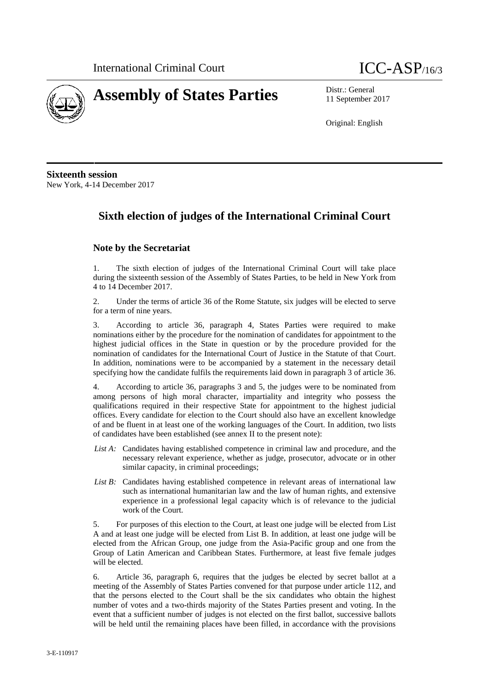



11 September 2017

Original: English

**Sixteenth session** New York, 4-14 December 2017

## **Sixth election of judges of the International Criminal Court**

#### **Note by the Secretariat**

1. The sixth election of judges of the International Criminal Court will take place during the sixteenth session of the Assembly of States Parties, to be held in New York from 4 to 14 December 2017.

2. Under the terms of article 36 of the Rome Statute, six judges will be elected to serve for a term of nine years.

3. According to article 36, paragraph 4, States Parties were required to make nominations either by the procedure for the nomination of candidates for appointment to the highest judicial offices in the State in question or by the procedure provided for the nomination of candidates for the International Court of Justice in the Statute of that Court. In addition, nominations were to be accompanied by a statement in the necessary detail specifying how the candidate fulfils the requirements laid down in paragraph 3 of article 36.

4. According to article 36, paragraphs 3 and 5, the judges were to be nominated from among persons of high moral character, impartiality and integrity who possess the qualifications required in their respective State for appointment to the highest judicial offices. Every candidate for election to the Court should also have an excellent knowledge of and be fluent in at least one of the working languages of the Court. In addition, two lists of candidates have been established (see annex II to the present note):

- *List A:* Candidates having established competence in criminal law and procedure, and the necessary relevant experience, whether as judge, prosecutor, advocate or in other similar capacity, in criminal proceedings;
- *List B:* Candidates having established competence in relevant areas of international law such as international humanitarian law and the law of human rights, and extensive experience in a professional legal capacity which is of relevance to the judicial work of the Court.

5. For purposes of this election to the Court, at least one judge will be elected from List A and at least one judge will be elected from List B. In addition, at least one judge will be elected from the African Group, one judge from the Asia-Pacific group and one from the Group of Latin American and Caribbean States. Furthermore, at least five female judges will be elected.

6. Article 36, paragraph 6, requires that the judges be elected by secret ballot at a meeting of the Assembly of States Parties convened for that purpose under article 112, and that the persons elected to the Court shall be the six candidates who obtain the highest number of votes and a two-thirds majority of the States Parties present and voting. In the event that a sufficient number of judges is not elected on the first ballot, successive ballots will be held until the remaining places have been filled, in accordance with the provisions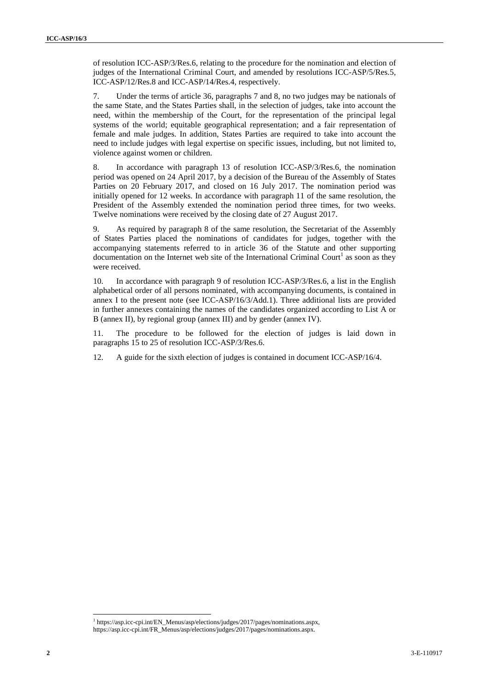of resolution ICC-ASP/3/Res.6, relating to the procedure for the nomination and election of judges of the International Criminal Court, and amended by resolutions ICC-ASP/5/Res.5, ICC-ASP/12/Res.8 and ICC-ASP/14/Res.4, respectively.

7. Under the terms of article 36, paragraphs 7 and 8, no two judges may be nationals of the same State, and the States Parties shall, in the selection of judges, take into account the need, within the membership of the Court, for the representation of the principal legal systems of the world; equitable geographical representation; and a fair representation of female and male judges. In addition, States Parties are required to take into account the need to include judges with legal expertise on specific issues, including, but not limited to, violence against women or children.

8. In accordance with paragraph 13 of resolution ICC-ASP/3/Res.6, the nomination period was opened on 24 April 2017, by a decision of the Bureau of the Assembly of States Parties on 20 February 2017, and closed on 16 July 2017. The nomination period was initially opened for 12 weeks. In accordance with paragraph 11 of the same resolution, the President of the Assembly extended the nomination period three times, for two weeks. Twelve nominations were received by the closing date of 27 August 2017.

9. As required by paragraph 8 of the same resolution, the Secretariat of the Assembly of States Parties placed the nominations of candidates for judges, together with the accompanying statements referred to in article 36 of the Statute and other supporting documentation on the Internet web site of the International Criminal Court<sup>1</sup> as soon as they were received.

10. In accordance with paragraph 9 of resolution ICC-ASP/3/Res.6, a list in the English alphabetical order of all persons nominated, with accompanying documents, is contained in annex I to the present note (see ICC-ASP/16/3/Add.1). Three additional lists are provided in further annexes containing the names of the candidates organized according to List A or B (annex II), by regional group (annex III) and by gender (annex IV).

11. The procedure to be followed for the election of judges is laid down in paragraphs 15 to 25 of resolution ICC-ASP/3/Res.6.

12. A guide for the sixth election of judges is contained in document ICC-ASP/16/4.

<sup>1</sup> https://asp.icc-cpi.int/EN\_Menus/asp/elections/judges/2017/pages/nominations.aspx, https://asp.icc-cpi.int/FR\_Menus/asp/elections/judges/2017/pages/nominations.aspx.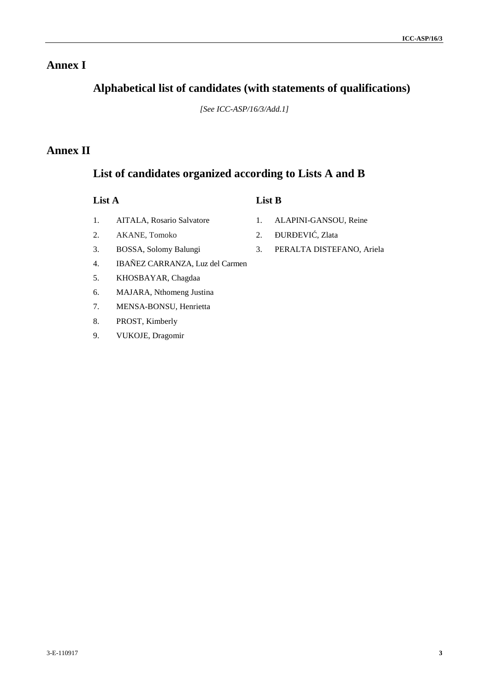## **Annex I**

## **Alphabetical list of candidates (with statements of qualifications)**

*[See ICC-ASP/16/3/Add.1]*

## **Annex II**

## **List of candidates organized according to Lists A and B**

| ×<br>Π. |  |
|---------|--|
|---------|--|

### **List A List B**

- 1. AITALA, Rosario Salvatore
- 2. AKANE, Tomoko
- 1. ALAPINI-GANSOU, Reine
- 
- 
- 3. BOSSA, Solomy Balungi
- 4. IBAÑEZ CARRANZA, Luz del Carmen
- 5. KHOSBAYAR, Chagdaa
- 6. MAJARA, Nthomeng Justina
- 7. MENSA-BONSU, Henrietta
- 8. PROST, Kimberly
- 9. VUKOJE, Dragomir
- 2. UR EVI, Zlata
- 3. PERALTA DISTEFANO, Ariela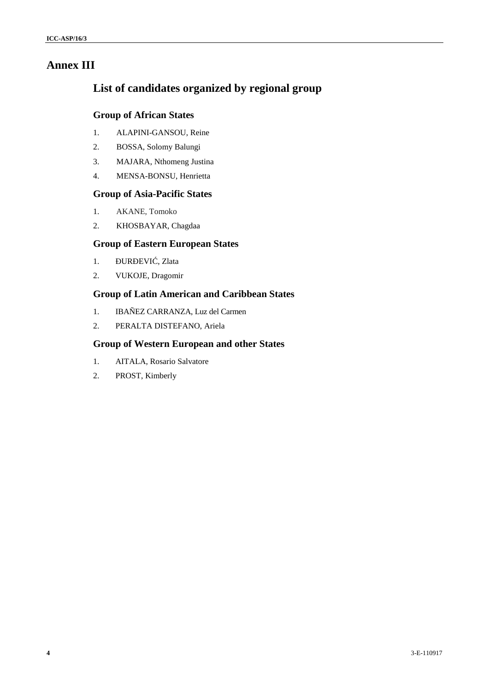## **Annex III**

## **List of candidates organized by regional group**

#### **Group of African States**

- 1. ALAPINI-GANSOU, Reine
- 2. BOSSA, Solomy Balungi
- 3. MAJARA, Nthomeng Justina
- 4. MENSA-BONSU, Henrietta

#### **Group of Asia-Pacific States**

- 1. AKANE, Tomoko
- 2. KHOSBAYAR, Chagdaa

#### **Group of Eastern European States**

- 1. UR EVI, Zlata
- 2. VUKOJE, Dragomir

#### **Group of Latin American and Caribbean States**

- 1. IBAÑEZ CARRANZA, Luz del Carmen
- 2. PERALTA DISTEFANO, Ariela

#### **Group of Western European and other States**

- 1. AITALA, Rosario Salvatore
- 2. PROST, Kimberly